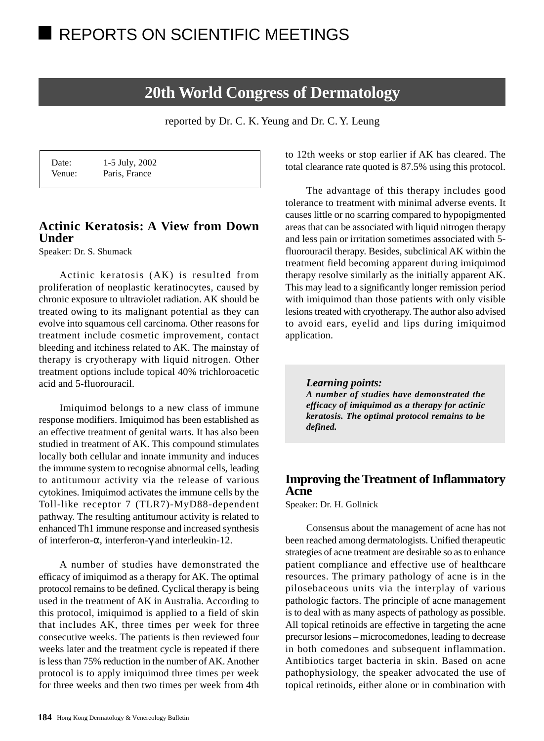# **20th World Congress of Dermatology**

reported by Dr. C. K. Yeung and Dr. C. Y. Leung

| Date:  | 1-5 July, 2002 |  |
|--------|----------------|--|
| Venue: | Paris, France  |  |

# **Actinic Keratosis: A View from Down Under**

Speaker: Dr. S. Shumack

Actinic keratosis (AK) is resulted from proliferation of neoplastic keratinocytes, caused by chronic exposure to ultraviolet radiation. AK should be treated owing to its malignant potential as they can evolve into squamous cell carcinoma. Other reasons for treatment include cosmetic improvement, contact bleeding and itchiness related to AK. The mainstay of therapy is cryotherapy with liquid nitrogen. Other treatment options include topical 40% trichloroacetic acid and 5-fluorouracil.

Imiquimod belongs to a new class of immune response modifiers. Imiquimod has been established as an effective treatment of genital warts. It has also been studied in treatment of AK. This compound stimulates locally both cellular and innate immunity and induces the immune system to recognise abnormal cells, leading to antitumour activity via the release of various cytokines. Imiquimod activates the immune cells by the Toll-like receptor 7 (TLR7)-MyD88-dependent pathway. The resulting antitumour activity is related to enhanced Th1 immune response and increased synthesis of interferon-α, interferon-γ and interleukin-12.

A number of studies have demonstrated the efficacy of imiquimod as a therapy for AK. The optimal protocol remains to be defined. Cyclical therapy is being used in the treatment of AK in Australia. According to this protocol, imiquimod is applied to a field of skin that includes AK, three times per week for three consecutive weeks. The patients is then reviewed four weeks later and the treatment cycle is repeated if there is less than 75% reduction in the number of AK. Another protocol is to apply imiquimod three times per week for three weeks and then two times per week from 4th

to 12th weeks or stop earlier if AK has cleared. The total clearance rate quoted is 87.5% using this protocol.

The advantage of this therapy includes good tolerance to treatment with minimal adverse events. It causes little or no scarring compared to hypopigmented areas that can be associated with liquid nitrogen therapy and less pain or irritation sometimes associated with 5 fluorouracil therapy. Besides, subclinical AK within the treatment field becoming apparent during imiquimod therapy resolve similarly as the initially apparent AK. This may lead to a significantly longer remission period with imiquimod than those patients with only visible lesions treated with cryotherapy. The author also advised to avoid ears, eyelid and lips during imiquimod application.

*Learning points: A number of studies have demonstrated the efficacy of imiquimod as a therapy for actinic keratosis. The optimal protocol remains to be defined.*

## **Improving the Treatment of Inflammatory Acne**

Speaker: Dr. H. Gollnick

Consensus about the management of acne has not been reached among dermatologists. Unified therapeutic strategies of acne treatment are desirable so as to enhance patient compliance and effective use of healthcare resources. The primary pathology of acne is in the pilosebaceous units via the interplay of various pathologic factors. The principle of acne management is to deal with as many aspects of pathology as possible. All topical retinoids are effective in targeting the acne precursor lesions – microcomedones, leading to decrease in both comedones and subsequent inflammation. Antibiotics target bacteria in skin. Based on acne pathophysiology, the speaker advocated the use of topical retinoids, either alone or in combination with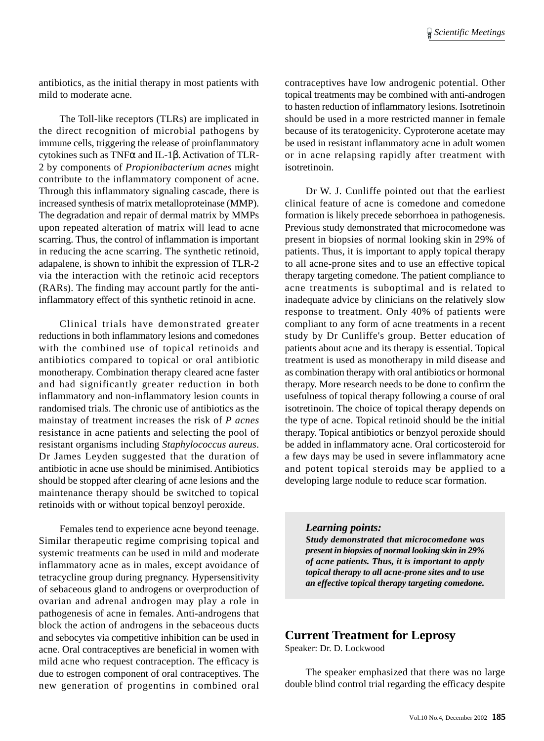antibiotics, as the initial therapy in most patients with mild to moderate acne.

The Toll-like receptors (TLRs) are implicated in the direct recognition of microbial pathogens by immune cells, triggering the release of proinflammatory cytokines such as TNFα and IL-1β. Activation of TLR-2 by components of *Propionibacterium acnes* might contribute to the inflammatory component of acne. Through this inflammatory signaling cascade, there is increased synthesis of matrix metalloproteinase (MMP). The degradation and repair of dermal matrix by MMPs upon repeated alteration of matrix will lead to acne scarring. Thus, the control of inflammation is important in reducing the acne scarring. The synthetic retinoid, adapalene, is shown to inhibit the expression of TLR-2 via the interaction with the retinoic acid receptors (RARs). The finding may account partly for the antiinflammatory effect of this synthetic retinoid in acne.

Clinical trials have demonstrated greater reductions in both inflammatory lesions and comedones with the combined use of topical retinoids and antibiotics compared to topical or oral antibiotic monotherapy. Combination therapy cleared acne faster and had significantly greater reduction in both inflammatory and non-inflammatory lesion counts in randomised trials. The chronic use of antibiotics as the mainstay of treatment increases the risk of *P acnes* resistance in acne patients and selecting the pool of resistant organisms including *Staphylococcus aureus*. Dr James Leyden suggested that the duration of antibiotic in acne use should be minimised. Antibiotics should be stopped after clearing of acne lesions and the maintenance therapy should be switched to topical retinoids with or without topical benzoyl peroxide.

Females tend to experience acne beyond teenage. Similar therapeutic regime comprising topical and systemic treatments can be used in mild and moderate inflammatory acne as in males, except avoidance of tetracycline group during pregnancy. Hypersensitivity of sebaceous gland to androgens or overproduction of ovarian and adrenal androgen may play a role in pathogenesis of acne in females. Anti-androgens that block the action of androgens in the sebaceous ducts and sebocytes via competitive inhibition can be used in acne. Oral contraceptives are beneficial in women with mild acne who request contraception. The efficacy is due to estrogen component of oral contraceptives. The new generation of progentins in combined oral

contraceptives have low androgenic potential. Other topical treatments may be combined with anti-androgen to hasten reduction of inflammatory lesions. Isotretinoin should be used in a more restricted manner in female because of its teratogenicity. Cyproterone acetate may be used in resistant inflammatory acne in adult women or in acne relapsing rapidly after treatment with isotretinoin.

Dr W. J. Cunliffe pointed out that the earliest clinical feature of acne is comedone and comedone formation is likely precede seborrhoea in pathogenesis. Previous study demonstrated that microcomedone was present in biopsies of normal looking skin in 29% of patients. Thus, it is important to apply topical therapy to all acne-prone sites and to use an effective topical therapy targeting comedone. The patient compliance to acne treatments is suboptimal and is related to inadequate advice by clinicians on the relatively slow response to treatment. Only 40% of patients were compliant to any form of acne treatments in a recent study by Dr Cunliffe's group. Better education of patients about acne and its therapy is essential. Topical treatment is used as monotherapy in mild disease and as combination therapy with oral antibiotics or hormonal therapy. More research needs to be done to confirm the usefulness of topical therapy following a course of oral isotretinoin. The choice of topical therapy depends on the type of acne. Topical retinoid should be the initial therapy. Topical antibiotics or benzyol peroxide should be added in inflammatory acne. Oral corticosteroid for a few days may be used in severe inflammatory acne and potent topical steroids may be applied to a developing large nodule to reduce scar formation.

#### *Learning points:*

*Study demonstrated that microcomedone was present in biopsies of normal looking skin in 29% of acne patients. Thus, it is important to apply topical therapy to all acne-prone sites and to use an effective topical therapy targeting comedone.*

### **Current Treatment for Leprosy**

Speaker: Dr. D. Lockwood

The speaker emphasized that there was no large double blind control trial regarding the efficacy despite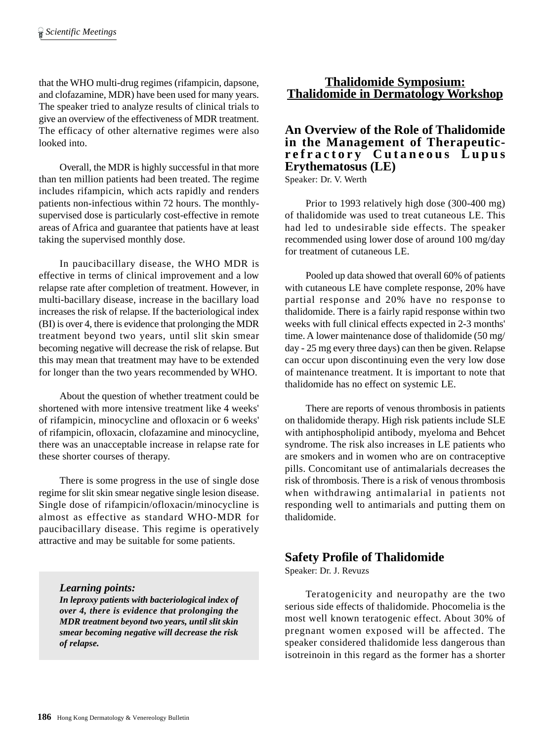that the WHO multi-drug regimes (rifampicin, dapsone, and clofazamine, MDR) have been used for many years. The speaker tried to analyze results of clinical trials to give an overview of the effectiveness of MDR treatment. The efficacy of other alternative regimes were also looked into.

Overall, the MDR is highly successful in that more than ten million patients had been treated. The regime includes rifampicin, which acts rapidly and renders patients non-infectious within 72 hours. The monthlysupervised dose is particularly cost-effective in remote areas of Africa and guarantee that patients have at least taking the supervised monthly dose.

In paucibacillary disease, the WHO MDR is effective in terms of clinical improvement and a low relapse rate after completion of treatment. However, in multi-bacillary disease, increase in the bacillary load increases the risk of relapse. If the bacteriological index (BI) is over 4, there is evidence that prolonging the MDR treatment beyond two years, until slit skin smear becoming negative will decrease the risk of relapse. But this may mean that treatment may have to be extended for longer than the two years recommended by WHO.

About the question of whether treatment could be shortened with more intensive treatment like 4 weeks' of rifampicin, minocycline and ofloxacin or 6 weeks' of rifampicin, ofloxacin, clofazamine and minocycline, there was an unacceptable increase in relapse rate for these shorter courses of therapy.

There is some progress in the use of single dose regime for slit skin smear negative single lesion disease. Single dose of rifampicin/ofloxacin/minocycline is almost as effective as standard WHO-MDR for paucibacillary disease. This regime is operatively attractive and may be suitable for some patients.

#### *Learning points:*

*In leproxy patients with bacteriological index of over 4, there is evidence that prolonging the MDR treatment beyond two years, until slit skin smear becoming negative will decrease the risk of relapse.*

### **Thalidomide Symposium: Thalidomide in Dermatology Workshop**

### **An Overview of the Role of Thalidomide in the Management of Therapeuticrefractory Cutaneous Lupus Erythematosus (LE)**

Speaker: Dr. V. Werth

Prior to 1993 relatively high dose (300-400 mg) of thalidomide was used to treat cutaneous LE. This had led to undesirable side effects. The speaker recommended using lower dose of around 100 mg/day for treatment of cutaneous LE.

Pooled up data showed that overall 60% of patients with cutaneous LE have complete response, 20% have partial response and 20% have no response to thalidomide. There is a fairly rapid response within two weeks with full clinical effects expected in 2-3 months' time. A lower maintenance dose of thalidomide (50 mg/ day - 25 mg every three days) can then be given. Relapse can occur upon discontinuing even the very low dose of maintenance treatment. It is important to note that thalidomide has no effect on systemic LE.

There are reports of venous thrombosis in patients on thalidomide therapy. High risk patients include SLE with antiphospholipid antibody, myeloma and Behcet syndrome. The risk also increases in LE patients who are smokers and in women who are on contraceptive pills. Concomitant use of antimalarials decreases the risk of thrombosis. There is a risk of venous thrombosis when withdrawing antimalarial in patients not responding well to antimarials and putting them on thalidomide.

### **Safety Profile of Thalidomide**

Speaker: Dr. J. Revuzs

Teratogenicity and neuropathy are the two serious side effects of thalidomide. Phocomelia is the most well known teratogenic effect. About 30% of pregnant women exposed will be affected. The speaker considered thalidomide less dangerous than isotreinoin in this regard as the former has a shorter